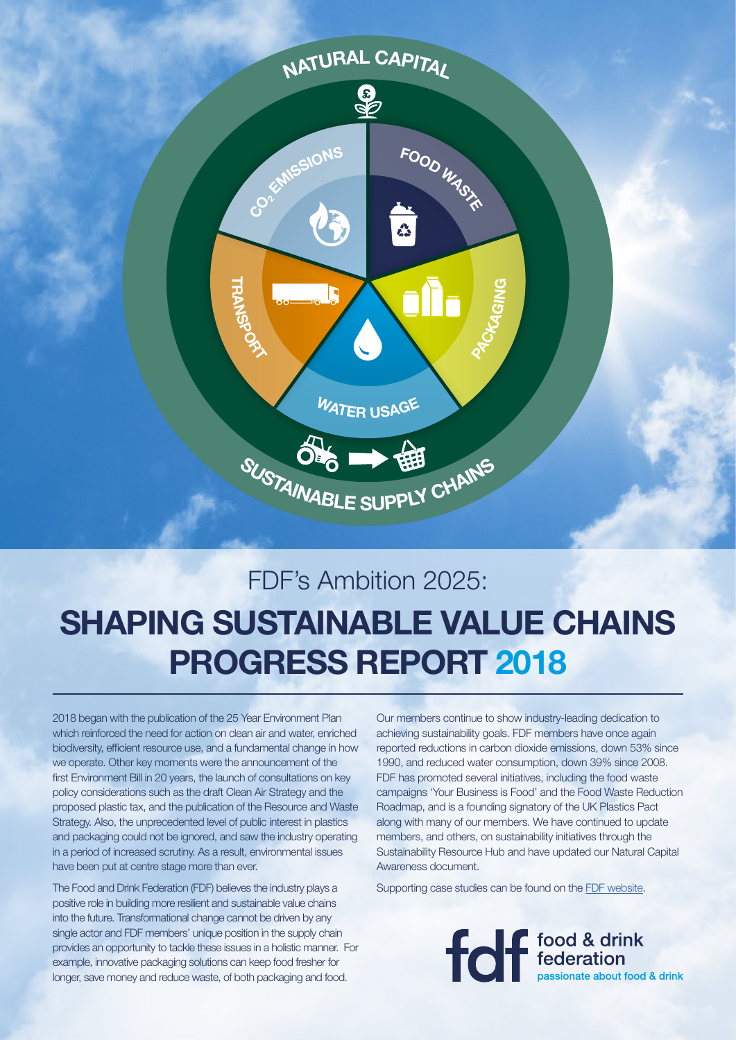

## **SHAPING SUSTAINABLE VALUE CHAINS PROGRESS REPORT 2018** FDF's Ambition 2025:

2018 began with the publication of the 25 Year Environment Plan which reinforced the need for action on clean air and water, enriched biodiversity, efficient resource use, and a fundamental change in how we operate. Other key moments were the announcement of the first Environment Bill in 20 years, the launch of consultations on key policy considerations such as the draft Clean Air Strategy and the proposed plastic tax, and the publication of the Resource and Waste Strategy. Also, the unprecedented level of public interest in plastics and packaging could not be ignored, and saw the industry operating in a period of increased scrutiny. As a result, environmental issues have been put at centre stage more than ever.

The Food and Drink Federation (FDF) believes the industry plays a positive role in building more resilient and sustainable value chains into the future. Transformational change cannot be driven by any single actor and FDF members' unique position in the supply chain provides an opportunity to tackle these issues in a holistic manner. For example, innovative packaging solutions can keep food fresher for longer, save money and reduce waste, of both packaging and food.

Our members continue to show industry-leading dedication to achieving sustainability goals. FDF members have once again reported reductions in carbon dioxide emissions, down 53% since 1990, and reduced water consumption, down 39% since 2008. FDF has promoted several initiatives, including the food waste campaigns 'Your Business is Food' and the Food Waste Reduction Roadmap, and is a founding signatory of the UK Plastics Pact along with many of our members. We have continued to update members, and others, on sustainability initiatives through the Sustainability Resource Hub and have updated our Natural Capital Awareness document.

Supporting case studies can be found on the [FDF website](https://www.fdf.org.uk/sustainability-ambition2025casestudies_2018.aspx).